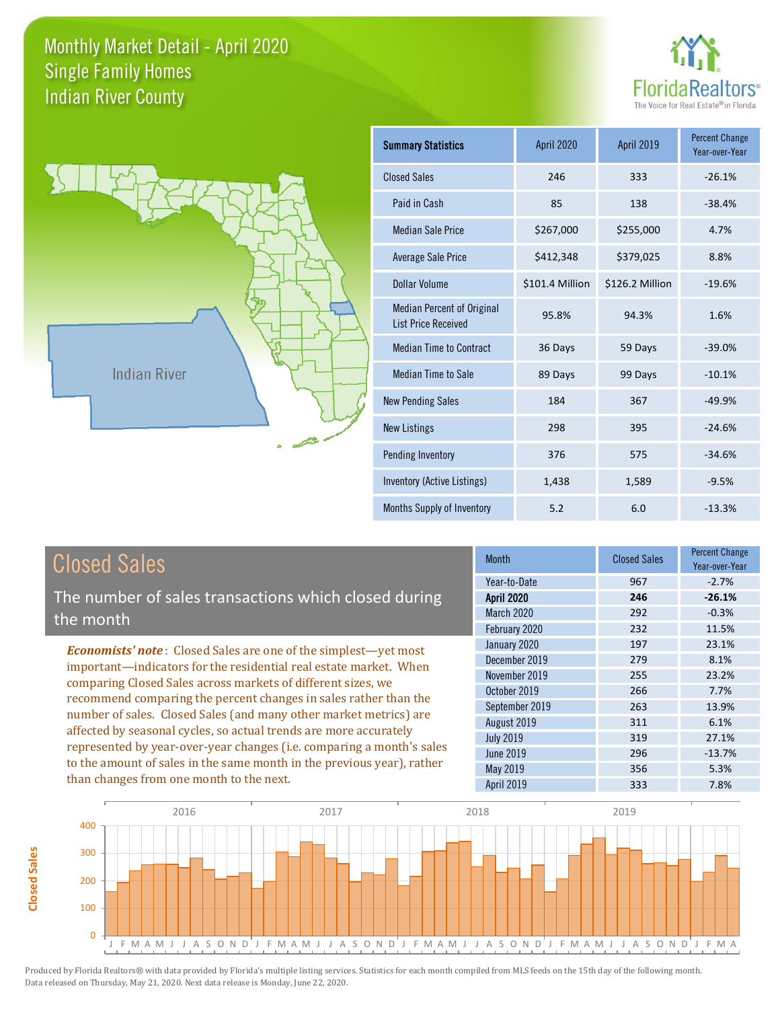**Closed Sales**

**Closed Sales** 





| <b>Summary Statistics</b>                                       | April 2020      | <b>April 2019</b> | <b>Percent Change</b><br>Year-over-Year |
|-----------------------------------------------------------------|-----------------|-------------------|-----------------------------------------|
| <b>Closed Sales</b>                                             | 246             | 333               | $-26.1%$                                |
| Paid in Cash                                                    | 85              | 138               | $-38.4%$                                |
| <b>Median Sale Price</b>                                        | \$267,000       | \$255,000         | 4.7%                                    |
| <b>Average Sale Price</b>                                       | \$412,348       | \$379,025         | 8.8%                                    |
| Dollar Volume                                                   | \$101.4 Million | \$126.2 Million   | $-19.6%$                                |
| <b>Median Percent of Original</b><br><b>List Price Received</b> | 95.8%           | 94.3%             | 1.6%                                    |
| <b>Median Time to Contract</b>                                  | 36 Days         | 59 Days           | $-39.0%$                                |
| <b>Median Time to Sale</b>                                      | 89 Days         | 99 Days           | $-10.1%$                                |
| <b>New Pending Sales</b>                                        | 184             | 367               | $-49.9%$                                |
| <b>New Listings</b>                                             | 298             | 395               | $-24.6%$                                |
| Pending Inventory                                               | 376             | 575               | $-34.6%$                                |
| Inventory (Active Listings)                                     | 1,438           | 1,589             | $-9.5%$                                 |
| Months Supply of Inventory                                      | 5.2             | 6.0               | $-13.3%$                                |

| <b>Closed Sales</b>                                                                                                                                                                                                                                                                                                                                                                                                                                                                                                                                                                                                      | <b>Month</b>                                                                                    | <b>Closed Sales</b>                    | <b>Percent Change</b><br>Year-over-Year         |
|--------------------------------------------------------------------------------------------------------------------------------------------------------------------------------------------------------------------------------------------------------------------------------------------------------------------------------------------------------------------------------------------------------------------------------------------------------------------------------------------------------------------------------------------------------------------------------------------------------------------------|-------------------------------------------------------------------------------------------------|----------------------------------------|-------------------------------------------------|
| The number of sales transactions which closed during<br>the month                                                                                                                                                                                                                                                                                                                                                                                                                                                                                                                                                        | Year-to-Date<br><b>April 2020</b><br>March 2020<br>February 2020                                | 967<br>246<br>292<br>232               | $-2.7%$<br>$-26.1%$<br>$-0.3%$<br>11.5%         |
| <b>Economists' note:</b> Closed Sales are one of the simplest—yet most<br>important—indicators for the residential real estate market. When<br>comparing Closed Sales across markets of different sizes, we<br>recommend comparing the percent changes in sales rather than the<br>number of sales. Closed Sales (and many other market metrics) are<br>affected by seasonal cycles, so actual trends are more accurately<br>represented by year-over-year changes (i.e. comparing a month's sales<br>to the amount of sales in the same month in the previous year), rather<br>than changes from one month to the next. | January 2020<br>December 2019<br>November 2019<br>October 2019<br>September 2019<br>August 2019 | 197<br>279<br>255<br>266<br>263<br>311 | 23.1%<br>8.1%<br>23.2%<br>7.7%<br>13.9%<br>6.1% |
|                                                                                                                                                                                                                                                                                                                                                                                                                                                                                                                                                                                                                          | <b>July 2019</b><br>June 2019<br>May 2019<br><b>April 2019</b>                                  | 319<br>296<br>356<br>333               | 27.1%<br>$-13.7%$<br>5.3%<br>7.8%               |

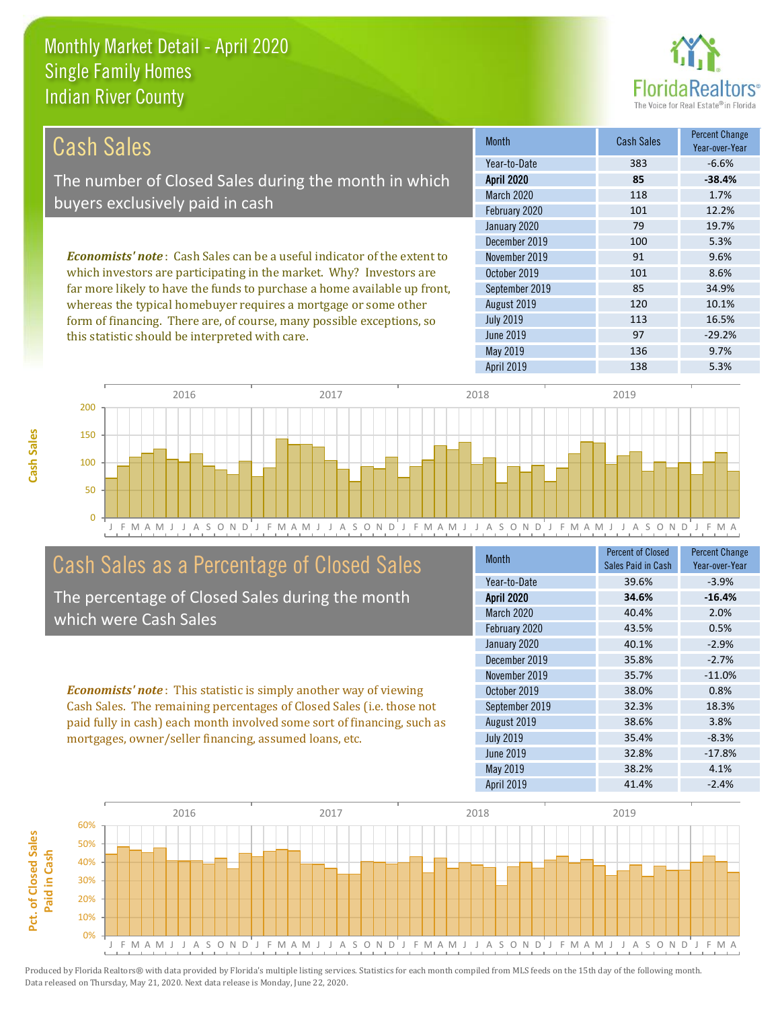

| Cash Sales                                                                     | <b>Month</b>      | <b>Cash Sales</b> | <b>Percent Change</b><br>Year-over-Year |
|--------------------------------------------------------------------------------|-------------------|-------------------|-----------------------------------------|
|                                                                                | Year-to-Date      | 383               | $-6.6%$                                 |
| The number of Closed Sales during the month in which                           | <b>April 2020</b> | 85                | $-38.4%$                                |
| buyers exclusively paid in cash                                                | March 2020        | 118               | 1.7%                                    |
|                                                                                | February 2020     | 101               | 12.2%                                   |
|                                                                                | January 2020      | 79                | 19.7%                                   |
|                                                                                | December 2019     | 100               | 5.3%                                    |
| <b>Economists' note:</b> Cash Sales can be a useful indicator of the extent to | November 2019     | 91                | 9.6%                                    |
| which investors are participating in the market. Why? Investors are            | October 2019      | 101               | 8.6%                                    |
| far more likely to have the funds to purchase a home available up front,       | September 2019    | 85                | 34.9%                                   |
| whereas the typical homebuyer requires a mortgage or some other                | August 2019       | 120               | 10.1%                                   |
| form of financing. There are, of course, many possible exceptions, so          | <b>July 2019</b>  | 113               | 16.5%                                   |
| this statistic should be interpreted with care.                                | June 2019         | 97                | $-29.2%$                                |



## Cash Sales as a Percentage of Closed Sales

The percentage of Closed Sales during the month which were Cash Sales

*Economists' note* : This statistic is simply another way of viewing Cash Sales. The remaining percentages of Closed Sales (i.e. those not paid fully in cash) each month involved some sort of financing, such as mortgages, owner/seller financing, assumed loans, etc.

| <b>Month</b>      | <b>Percent of Closed</b> | <b>Percent Change</b> |
|-------------------|--------------------------|-----------------------|
|                   | Sales Paid in Cash       | Year-over-Year        |
| Year-to-Date      | 39.6%                    | $-3.9%$               |
| <b>April 2020</b> | 34.6%                    | $-16.4%$              |
| March 2020        | 40.4%                    | 2.0%                  |
| February 2020     | 43.5%                    | 0.5%                  |
| January 2020      | 40.1%                    | $-2.9%$               |
| December 2019     | 35.8%                    | $-2.7%$               |
| November 2019     | 35.7%                    | $-11.0%$              |
| October 2019      | 38.0%                    | 0.8%                  |
| September 2019    | 32.3%                    | 18.3%                 |
| August 2019       | 38.6%                    | 3.8%                  |
| <b>July 2019</b>  | 35.4%                    | $-8.3%$               |
| <b>June 2019</b>  | 32.8%                    | $-17.8%$              |
| May 2019          | 38.2%                    | 4.1%                  |
| <b>April 2019</b> | 41.4%                    | $-2.4%$               |

May 2019 **136** 9.7%

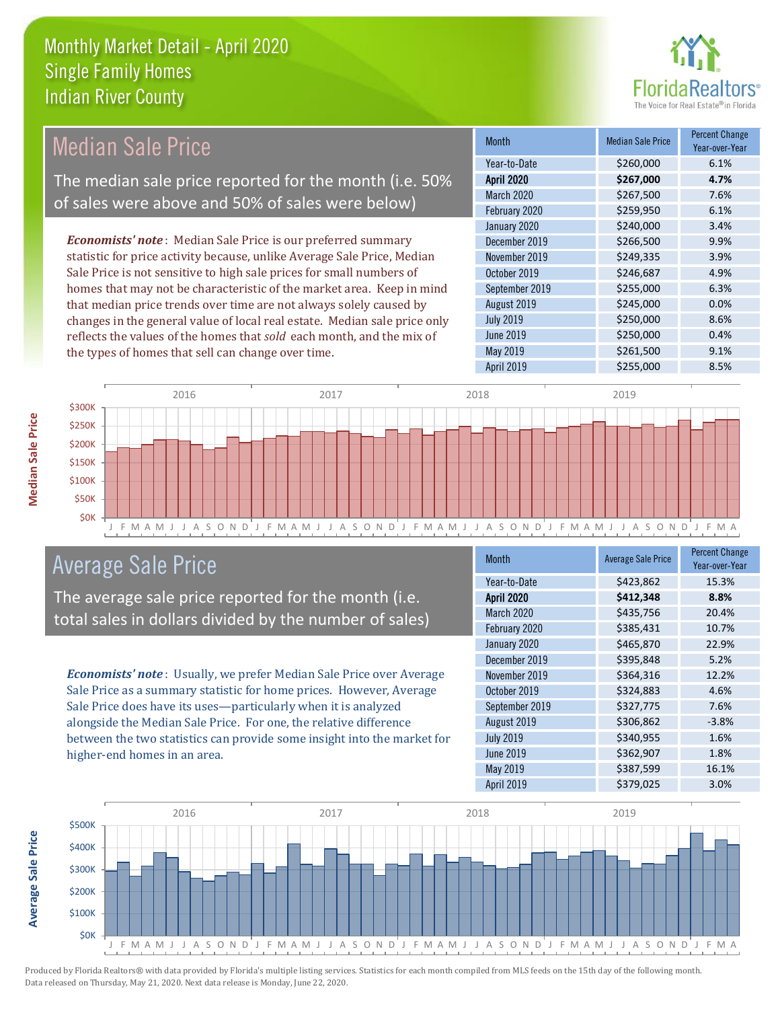the types of homes that sell can change over time.



| Median Sale Price                                                         | <b>Month</b>      | <b>Median Sale Price</b> | <b>Percent Change</b><br>Year-over-Year |
|---------------------------------------------------------------------------|-------------------|--------------------------|-----------------------------------------|
|                                                                           | Year-to-Date      | \$260,000                | 6.1%                                    |
| The median sale price reported for the month (i.e. 50%                    | <b>April 2020</b> | \$267,000                | 4.7%                                    |
| of sales were above and 50% of sales were below)                          | <b>March 2020</b> | \$267,500                | 7.6%                                    |
|                                                                           | February 2020     | \$259,950                | 6.1%                                    |
|                                                                           | January 2020      | \$240,000                | 3.4%                                    |
| <b>Economists' note:</b> Median Sale Price is our preferred summary       | December 2019     | \$266,500                | 9.9%                                    |
| statistic for price activity because, unlike Average Sale Price, Median   | November 2019     | \$249,335                | 3.9%                                    |
| Sale Price is not sensitive to high sale prices for small numbers of      | October 2019      | \$246,687                | 4.9%                                    |
| homes that may not be characteristic of the market area. Keep in mind     | September 2019    | \$255,000                | 6.3%                                    |
| that median price trends over time are not always solely caused by        | August 2019       | \$245,000                | 0.0%                                    |
| changes in the general value of local real estate. Median sale price only | <b>July 2019</b>  | \$250,000                | 8.6%                                    |
| reflects the values of the homes that sold each month, and the mix of     | June 2019         | \$250,000                | 0.4%                                    |



## Average Sale Price

The average sale price reported for the month (i.e. total sales in dollars divided by the number of sales)

*Economists' note* : Usually, we prefer Median Sale Price over Average Sale Price as a summary statistic for home prices. However, Average Sale Price does have its uses—particularly when it is analyzed alongside the Median Sale Price. For one, the relative difference between the two statistics can provide some insight into the market for higher-end homes in an area.

| <b>Month</b>      | <b>Average Sale Price</b> | <b>Percent Change</b><br>Year-over-Year |
|-------------------|---------------------------|-----------------------------------------|
| Year-to-Date      | \$423,862                 | 15.3%                                   |
| <b>April 2020</b> | \$412,348                 | 8.8%                                    |
| March 2020        | \$435,756                 | 20.4%                                   |
| February 2020     | \$385,431                 | 10.7%                                   |
| January 2020      | \$465,870                 | 22.9%                                   |
| December 2019     | \$395,848                 | 5.2%                                    |
| November 2019     | \$364,316                 | 12.2%                                   |
| October 2019      | \$324,883                 | 4.6%                                    |
| September 2019    | \$327,775                 | 7.6%                                    |
| August 2019       | \$306,862                 | $-3.8%$                                 |
| <b>July 2019</b>  | \$340,955                 | 1.6%                                    |
| <b>June 2019</b>  | \$362,907                 | 1.8%                                    |
| May 2019          | \$387,599                 | 16.1%                                   |
| <b>April 2019</b> | \$379,025                 | 3.0%                                    |

May 2019 **\$261,500** \$261,500 9.1% April 2019 **\$255,000** \$255,000 8.5%



Produced by Florida Realtors® with data provided by Florida's multiple listing services. Statistics for each month compiled from MLS feeds on the 15th day of the following month. Data released on Thursday, May 21, 2020. Next data release is Monday, June 22, 2020.

**Average Sale Price**

**Average Sale Price**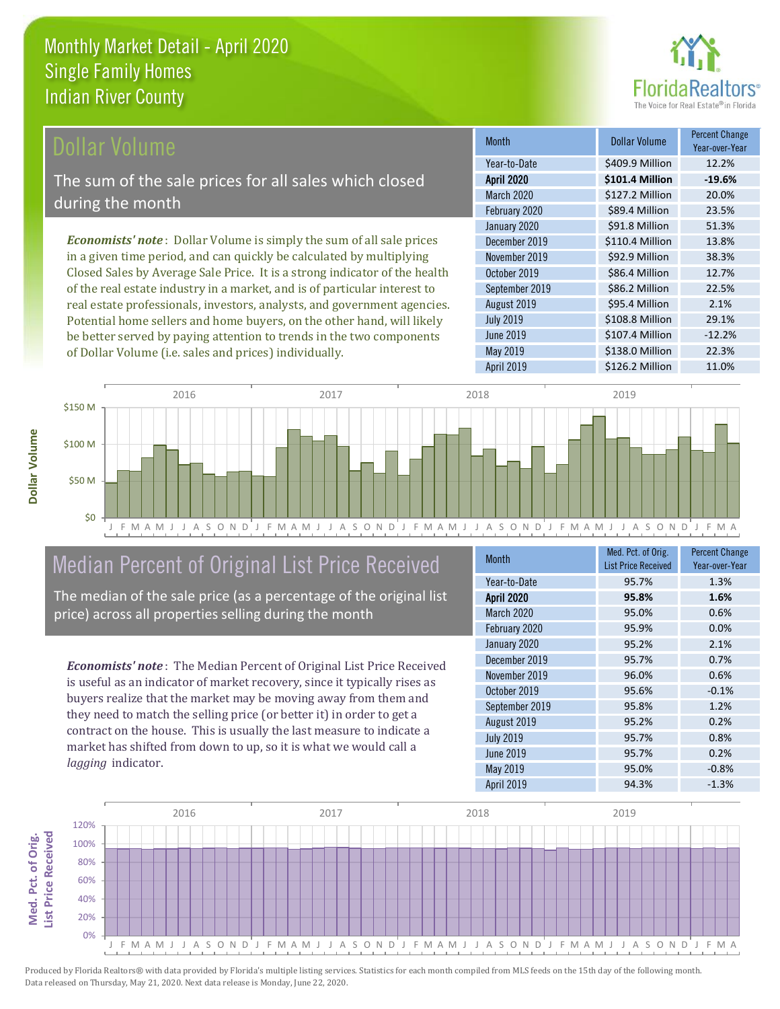

## Dollar Volume

The sum of the sale prices for all sales which closed during the month

*Economists' note* : Dollar Volume is simply the sum of all sale prices in a given time period, and can quickly be calculated by multiplying Closed Sales by Average Sale Price. It is a strong indicator of the health of the real estate industry in a market, and is of particular interest to real estate professionals, investors, analysts, and government agencies. Potential home sellers and home buyers, on the other hand, will likely be better served by paying attention to trends in the two components of Dollar Volume (i.e. sales and prices) individually.

| Month             | Dollar Volume   | <b>Percent Change</b><br>Year-over-Year |
|-------------------|-----------------|-----------------------------------------|
| Year-to-Date      | \$409.9 Million | 12.2%                                   |
| <b>April 2020</b> | \$101.4 Million | $-19.6%$                                |
| March 2020        | \$127.2 Million | 20.0%                                   |
| February 2020     | \$89.4 Million  | 23.5%                                   |
| January 2020      | \$91.8 Million  | 51.3%                                   |
| December 2019     | \$110.4 Million | 13.8%                                   |
| November 2019     | \$92.9 Million  | 38.3%                                   |
| October 2019      | \$86.4 Million  | 12.7%                                   |
| September 2019    | \$86.2 Million  | 22.5%                                   |
| August 2019       | \$95.4 Million  | 2.1%                                    |
| <b>July 2019</b>  | \$108.8 Million | 29.1%                                   |
| <b>June 2019</b>  | \$107.4 Million | $-12.2%$                                |
| May 2019          | \$138.0 Million | 22.3%                                   |
| <b>April 2019</b> | \$126.2 Million | 11.0%                                   |



## Median Percent of Original List Price Received

The median of the sale price (as a percentage of the original list price) across all properties selling during the month

*Economists' note* : The Median Percent of Original List Price Received is useful as an indicator of market recovery, since it typically rises as buyers realize that the market may be moving away from them and they need to match the selling price (or better it) in order to get a contract on the house. This is usually the last measure to indicate a market has shifted from down to up, so it is what we would call a *lagging* indicator.

| <b>Month</b>      | Med. Pct. of Orig.<br><b>List Price Received</b> | <b>Percent Change</b><br>Year-over-Year |
|-------------------|--------------------------------------------------|-----------------------------------------|
| Year-to-Date      | 95.7%                                            | 1.3%                                    |
| <b>April 2020</b> | 95.8%                                            | 1.6%                                    |
| March 2020        | 95.0%                                            | 0.6%                                    |
| February 2020     | 95.9%                                            | 0.0%                                    |
| January 2020      | 95.2%                                            | 2.1%                                    |
| December 2019     | 95.7%                                            | 0.7%                                    |
| November 2019     | 96.0%                                            | 0.6%                                    |
| October 2019      | 95.6%                                            | $-0.1%$                                 |
| September 2019    | 95.8%                                            | 1.2%                                    |
| August 2019       | 95.2%                                            | 0.2%                                    |
| <b>July 2019</b>  | 95.7%                                            | 0.8%                                    |
| <b>June 2019</b>  | 95.7%                                            | 0.2%                                    |
| May 2019          | 95.0%                                            | $-0.8%$                                 |
| April 2019        | 94.3%                                            | $-1.3%$                                 |

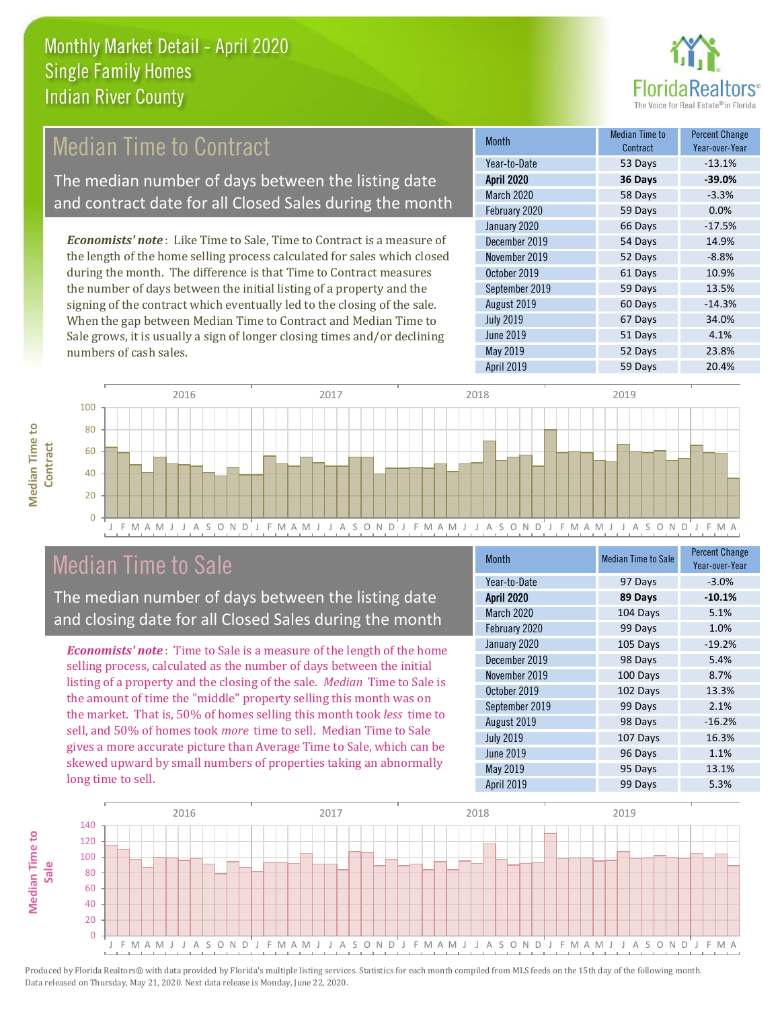

#### 59 Days 0.0% January 2020 66 Days -17.5% August 2019 60 Days -14.3% Month Month Median Time to **Contract** Percent Change Year-over-Year April 2020 **36 Days -39.0%** Year-to-Date 53 Days -13.1% March 2020 58 Days -3.3% February 2020 October 2019 61 Days 10.9% September 2019 59 Days 13.5% December 2019 54 Days 14.9% November 2019 **52 Days** 52 Days -8.8% 67 Days 34.0% July 2019 *Economists' note* : Like Time to Sale, Time to Contract is a measure of the length of the home selling process calculated for sales which closed during the month. The difference is that Time to Contract measures the number of days between the initial listing of a property and the signing of the contract which eventually led to the closing of the sale. When the gap between Median Time to Contract and Median Time to Median Time to Contract The median number of days between the listing date and contract date for all Closed Sales during the month

J F M A M J J A S O N D J F M A M J J A S O N D J F M A M J J A S O N D J F M A M J J A S O N D J F M A  $\Omega$ 20 40 60 80 100 2016 2017 2018 2019

## Median Time to Sale

numbers of cash sales.

**Median Time to Contract**

**Median Time to** 

The median number of days between the listing date and closing date for all Closed Sales during the month

Sale grows, it is usually a sign of longer closing times and/or declining

*Economists' note* : Time to Sale is a measure of the length of the home selling process, calculated as the number of days between the initial listing of a property and the closing of the sale. *Median* Time to Sale is the amount of time the "middle" property selling this month was on the market. That is, 50% of homes selling this month took *less* time to sell, and 50% of homes took *more* time to sell. Median Time to Sale gives a more accurate picture than Average Time to Sale, which can be skewed upward by small numbers of properties taking an abnormally long time to sell.

| <b>Month</b>      | <b>Median Time to Sale</b> | <b>Percent Change</b><br>Year-over-Year |
|-------------------|----------------------------|-----------------------------------------|
| Year-to-Date      | 97 Days                    | $-3.0%$                                 |
| <b>April 2020</b> | 89 Days                    | $-10.1%$                                |
| March 2020        | 104 Days                   | 5.1%                                    |
| February 2020     | 99 Days                    | 1.0%                                    |
| January 2020      | 105 Days                   | $-19.2%$                                |
| December 2019     | 98 Days                    | 5.4%                                    |
| November 2019     | 100 Days                   | 8.7%                                    |
| October 2019      | 102 Days                   | 13.3%                                   |
| September 2019    | 99 Days                    | 2.1%                                    |
| August 2019       | 98 Days                    | $-16.2%$                                |
| <b>July 2019</b>  | 107 Days                   | 16.3%                                   |
| <b>June 2019</b>  | 96 Days                    | 1.1%                                    |
| <b>May 2019</b>   | 95 Days                    | 13.1%                                   |
| April 2019        | 99 Days                    | 5.3%                                    |

June 2019 **51 Days** 4.1%

May 2019 **52 Days** 23.8% April 2019 59 Days 20.4%

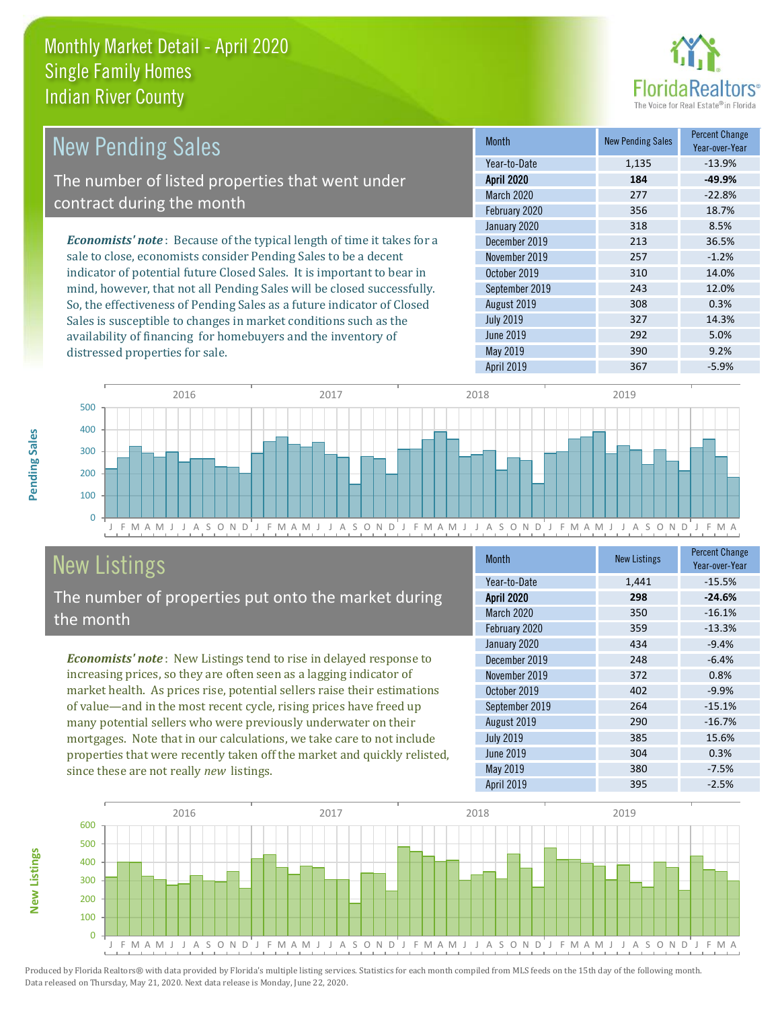distressed properties for sale.



| <b>New Pending Sales</b>                                                      | <b>Month</b>      | <b>New Pending Sales</b> | <b>Percent Change</b><br>Year-over-Year |
|-------------------------------------------------------------------------------|-------------------|--------------------------|-----------------------------------------|
|                                                                               | Year-to-Date      | 1,135                    | $-13.9%$                                |
| The number of listed properties that went under                               | <b>April 2020</b> | 184                      | $-49.9%$                                |
| contract during the month                                                     | <b>March 2020</b> | 277                      | $-22.8%$                                |
|                                                                               | February 2020     | 356                      | 18.7%                                   |
|                                                                               | January 2020      | 318                      | 8.5%                                    |
| <b>Economists' note:</b> Because of the typical length of time it takes for a | December 2019     | 213                      | 36.5%                                   |
| sale to close, economists consider Pending Sales to be a decent               | November 2019     | 257                      | $-1.2%$                                 |
| indicator of potential future Closed Sales. It is important to bear in        | October 2019      | 310                      | 14.0%                                   |
| mind, however, that not all Pending Sales will be closed successfully.        | September 2019    | 243                      | 12.0%                                   |
| So, the effectiveness of Pending Sales as a future indicator of Closed        | August 2019       | 308                      | 0.3%                                    |
| Sales is susceptible to changes in market conditions such as the              | <b>July 2019</b>  | 327                      | 14.3%                                   |
| availability of financing for homebuyers and the inventory of                 | June 2019         | 292                      | 5.0%                                    |



# New Listings

The number of properties put onto the market during the month

*Economists' note* : New Listings tend to rise in delayed response to increasing prices, so they are often seen as a lagging indicator of market health. As prices rise, potential sellers raise their estimations of value—and in the most recent cycle, rising prices have freed up many potential sellers who were previously underwater on their mortgages. Note that in our calculations, we take care to not include properties that were recently taken off the market and quickly relisted, since these are not really *new* listings.

| Month             | <b>New Listings</b> | <b>Percent Change</b><br>Year-over-Year |
|-------------------|---------------------|-----------------------------------------|
| Year-to-Date      | 1,441               | $-15.5%$                                |
| <b>April 2020</b> | 298                 | $-24.6%$                                |
| March 2020        | 350                 | $-16.1%$                                |
| February 2020     | 359                 | $-13.3%$                                |
| January 2020      | 434                 | $-9.4%$                                 |
| December 2019     | 248                 | $-6.4%$                                 |
| November 2019     | 372                 | 0.8%                                    |
| October 2019      | 402                 | $-9.9%$                                 |
| September 2019    | 264                 | $-15.1%$                                |
| August 2019       | 290                 | $-16.7%$                                |
| <b>July 2019</b>  | 385                 | 15.6%                                   |
| <b>June 2019</b>  | 304                 | 0.3%                                    |
| May 2019          | 380                 | $-7.5%$                                 |
| <b>April 2019</b> | 395                 | $-2.5%$                                 |

May 2019 390 9.2%



Produced by Florida Realtors® with data provided by Florida's multiple listing services. Statistics for each month compiled from MLS feeds on the 15th day of the following month. Data released on Thursday, May 21, 2020. Next data release is Monday, June 22, 2020.

**New Listings**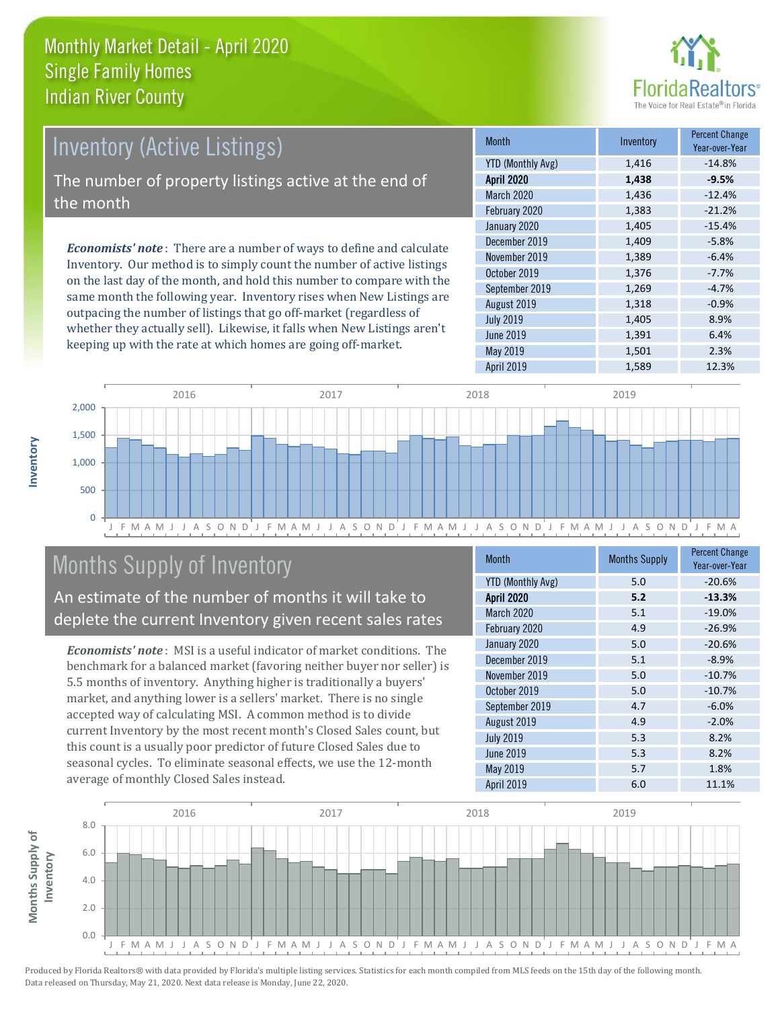

# *Economists' note* : There are a number of ways to define and calculate Inventory (Active Listings) The number of property listings active at the end of the month

Inventory. Our method is to simply count the number of active listings on the last day of the month, and hold this number to compare with the same month the following year. Inventory rises when New Listings are outpacing the number of listings that go off-market (regardless of whether they actually sell). Likewise, it falls when New Listings aren't keeping up with the rate at which homes are going off-market.

| <b>Month</b>             | Inventory | <b>Percent Change</b><br>Year-over-Year |
|--------------------------|-----------|-----------------------------------------|
| <b>YTD (Monthly Avg)</b> | 1,416     | $-14.8%$                                |
| <b>April 2020</b>        | 1,438     | $-9.5%$                                 |
| March 2020               | 1,436     | $-12.4%$                                |
| February 2020            | 1,383     | $-21.2%$                                |
| January 2020             | 1,405     | $-15.4%$                                |
| December 2019            | 1,409     | $-5.8%$                                 |
| November 2019            | 1,389     | $-6.4%$                                 |
| October 2019             | 1,376     | $-7.7%$                                 |
| September 2019           | 1,269     | $-4.7%$                                 |
| August 2019              | 1,318     | $-0.9%$                                 |
| <b>July 2019</b>         | 1,405     | 8.9%                                    |
| <b>June 2019</b>         | 1,391     | 6.4%                                    |
| May 2019                 | 1,501     | 2.3%                                    |
| <b>April 2019</b>        | 1,589     | 12.3%                                   |



## Months Supply of Inventory

An estimate of the number of months it will take to deplete the current Inventory given recent sales rates

*Economists' note* : MSI is a useful indicator of market conditions. The benchmark for a balanced market (favoring neither buyer nor seller) is 5.5 months of inventory. Anything higher is traditionally a buyers' market, and anything lower is a sellers' market. There is no single accepted way of calculating MSI. A common method is to divide current Inventory by the most recent month's Closed Sales count, but this count is a usually poor predictor of future Closed Sales due to seasonal cycles. To eliminate seasonal effects, we use the 12-month average of monthly Closed Sales instead.

| <b>Month</b>             | <b>Months Supply</b> | <b>Percent Change</b><br>Year-over-Year |
|--------------------------|----------------------|-----------------------------------------|
| <b>YTD (Monthly Avg)</b> | 5.0                  | $-20.6%$                                |
| <b>April 2020</b>        | 5.2                  | $-13.3%$                                |
| March 2020               | 5.1                  | $-19.0%$                                |
| February 2020            | 4.9                  | $-26.9%$                                |
| January 2020             | 5.0                  | $-20.6%$                                |
| December 2019            | 5.1                  | $-8.9%$                                 |
| November 2019            | 5.0                  | $-10.7%$                                |
| October 2019             | 5.0                  | $-10.7%$                                |
| September 2019           | 4.7                  | $-6.0%$                                 |
| August 2019              | 4.9                  | $-2.0%$                                 |
| <b>July 2019</b>         | 5.3                  | 8.2%                                    |
| <b>June 2019</b>         | 5.3                  | 8.2%                                    |
| May 2019                 | 5.7                  | 1.8%                                    |
| <b>April 2019</b>        | 6.0                  | 11.1%                                   |

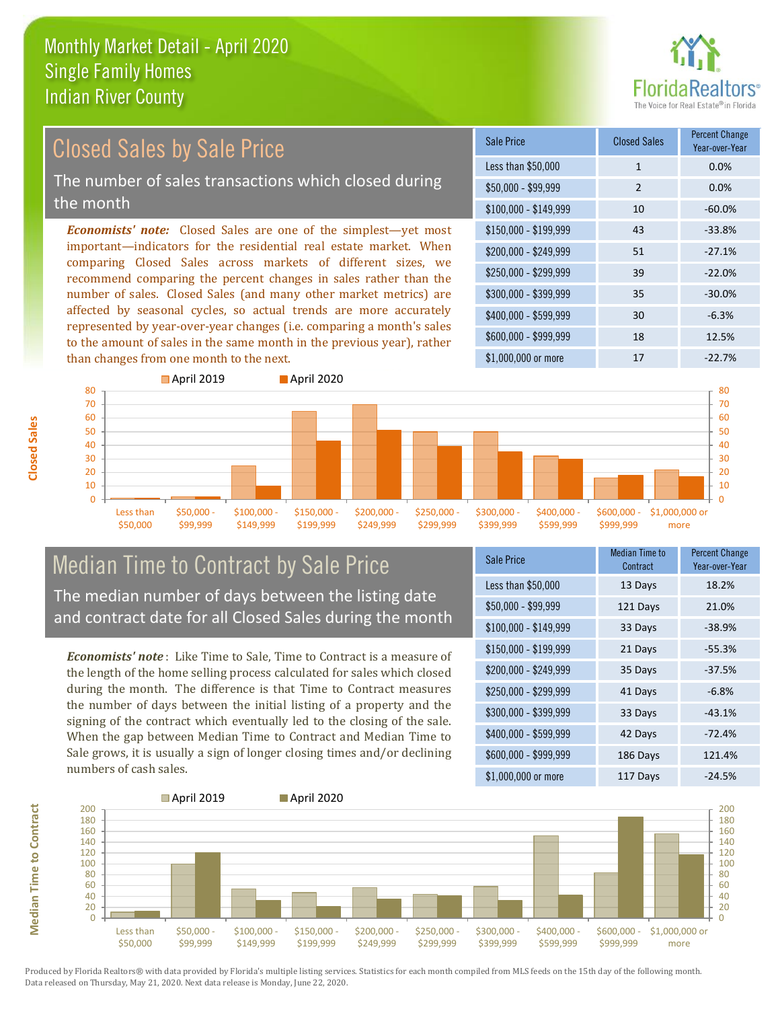

# Closed Sales by Sale Price

The number of sales transactions which closed during the month

*Economists' note:* Closed Sales are one of the simplest—yet most important—indicators for the residential real estate market. When comparing Closed Sales across markets of different sizes, we recommend comparing the percent changes in sales rather than the number of sales. Closed Sales (and many other market metrics) are affected by seasonal cycles, so actual trends are more accurately represented by year-over-year changes (i.e. comparing a month's sales to the amount of sales in the same month in the previous year), rather than changes from one month to the next.

| Sale Price            | <b>Closed Sales</b> | <b>Percent Change</b><br>Year-over-Year |
|-----------------------|---------------------|-----------------------------------------|
| Less than \$50,000    | 1                   | 0.0%                                    |
| $$50,000 - $99,999$   | $\mathcal{P}$       | 0.0%                                    |
| $$100,000 - $149,999$ | 10                  | $-60.0%$                                |
| $$150,000 - $199,999$ | 43                  | $-33.8%$                                |
| \$200,000 - \$249,999 | 51                  | $-27.1%$                                |
| \$250,000 - \$299,999 | 39                  | $-22.0%$                                |
| \$300,000 - \$399,999 | 35                  | $-30.0%$                                |
| \$400,000 - \$599,999 | 30                  | $-6.3%$                                 |
| \$600,000 - \$999,999 | 18                  | 12.5%                                   |
| \$1,000,000 or more   | 17                  | $-22.7%$                                |



## Median Time to Contract by Sale Price The median number of days between the listing date and contract date for all Closed Sales during the month

*Economists' note* : Like Time to Sale, Time to Contract is a measure of the length of the home selling process calculated for sales which closed during the month. The difference is that Time to Contract measures the number of days between the initial listing of a property and the signing of the contract which eventually led to the closing of the sale. When the gap between Median Time to Contract and Median Time to Sale grows, it is usually a sign of longer closing times and/or declining numbers of cash sales.

| Sale Price            | <b>Median Time to</b><br>Contract | <b>Percent Change</b><br>Year-over-Year |
|-----------------------|-----------------------------------|-----------------------------------------|
| Less than \$50,000    | 13 Days                           | 18.2%                                   |
| \$50,000 - \$99,999   | 121 Days                          | 21.0%                                   |
| $$100,000 - $149,999$ | 33 Days                           | $-38.9%$                                |
| $$150,000 - $199,999$ | 21 Days                           | $-55.3%$                                |
| \$200,000 - \$249,999 | 35 Days                           | $-37.5%$                                |
| \$250,000 - \$299,999 | 41 Days                           | $-6.8%$                                 |
| \$300,000 - \$399,999 | 33 Days                           | $-43.1%$                                |
| \$400,000 - \$599,999 | 42 Days                           | $-72.4%$                                |
| \$600,000 - \$999,999 | 186 Days                          | 121.4%                                  |
| \$1,000,000 or more   | 117 Days                          | $-24.5%$                                |



Produced by Florida Realtors® with data provided by Florida's multiple listing services. Statistics for each month compiled from MLS feeds on the 15th day of the following month. Data released on Thursday, May 21, 2020. Next data release is Monday, June 22, 2020.

**Median Time to Contract**

**Median Time to Contract**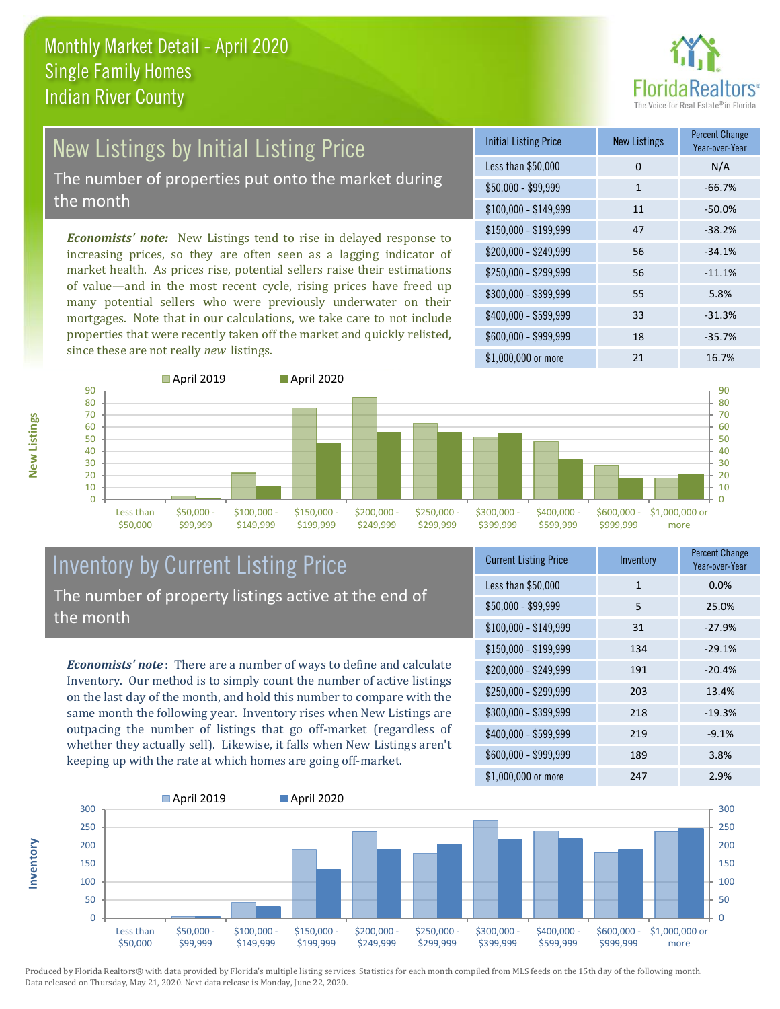

# New Listings by Initial Listing Price

The number of properties put onto the market during the month

*Economists' note:* New Listings tend to rise in delayed response to increasing prices, so they are often seen as a lagging indicator of market health. As prices rise, potential sellers raise their estimations of value—and in the most recent cycle, rising prices have freed up many potential sellers who were previously underwater on their mortgages. Note that in our calculations, we take care to not include properties that were recently taken off the market and quickly relisted, since these are not really *new* listings.

| <b>Initial Listing Price</b> | <b>New Listings</b> | <b>Percent Change</b><br>Year-over-Year |
|------------------------------|---------------------|-----------------------------------------|
| Less than \$50,000           | 0                   | N/A                                     |
| $$50,000 - $99,999$          | $\mathbf{1}$        | $-66.7%$                                |
| $$100,000 - $149,999$        | 11                  | $-50.0%$                                |
| $$150,000 - $199,999$        | 47                  | $-38.2%$                                |
| \$200,000 - \$249,999        | 56                  | $-34.1%$                                |
| \$250,000 - \$299,999        | 56                  | $-11.1%$                                |
| \$300,000 - \$399,999        | 55                  | 5.8%                                    |
| \$400,000 - \$599,999        | 33                  | $-31.3%$                                |
| \$600,000 - \$999,999        | 18                  | $-35.7%$                                |
| \$1,000,000 or more          | 21                  | 16.7%                                   |



## Inventory by Current Listing Price The number of property listings active at the end of the month

*Economists' note* : There are a number of ways to define and calculate Inventory. Our method is to simply count the number of active listings on the last day of the month, and hold this number to compare with the same month the following year. Inventory rises when New Listings are outpacing the number of listings that go off-market (regardless of whether they actually sell). Likewise, it falls when New Listings aren't keeping up with the rate at which homes are going off-market.

| <b>Current Listing Price</b> | Inventory    | Percent Change<br>Year-over-Year |
|------------------------------|--------------|----------------------------------|
| Less than \$50,000           | $\mathbf{1}$ | 0.0%                             |
| \$50,000 - \$99,999          | 5            | 25.0%                            |
| $$100,000 - $149,999$        | 31           | $-27.9%$                         |
| $$150,000 - $199,999$        | 134          | $-29.1%$                         |
| \$200,000 - \$249,999        | 191          | $-20.4%$                         |
| \$250,000 - \$299,999        | 203          | 13.4%                            |
| \$300,000 - \$399,999        | 218          | $-19.3%$                         |
| \$400,000 - \$599,999        | 219          | $-9.1%$                          |
| \$600,000 - \$999,999        | 189          | 3.8%                             |
| \$1,000,000 or more          | 247          | 2.9%                             |



Produced by Florida Realtors® with data provided by Florida's multiple listing services. Statistics for each month compiled from MLS feeds on the 15th day of the following month. Data released on Thursday, May 21, 2020. Next data release is Monday, June 22, 2020.

**Inventory**